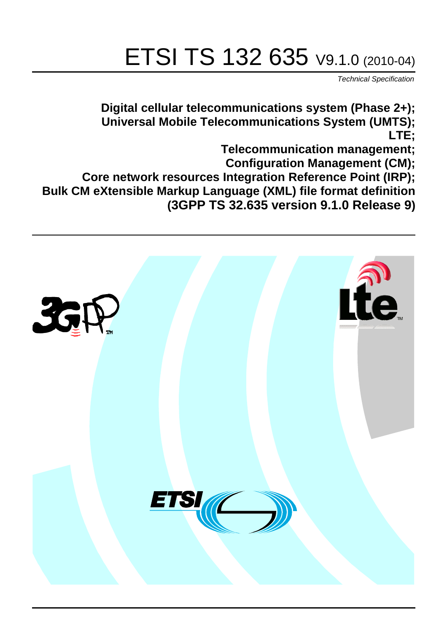# ETSI TS 132 635 V9.1.0 (2010-04)

*Technical Specification*

**Digital cellular telecommunications system (Phase 2+); Universal Mobile Telecommunications System (UMTS); LTE;**

**Telecommunication management;**

**Configuration Management (CM);**

**Core network resources Integration Reference Point (IRP); Bulk CM eXtensible Markup Language (XML) file format definition** 

**(3GPP TS 32.635 version 9.1.0 Release 9)**

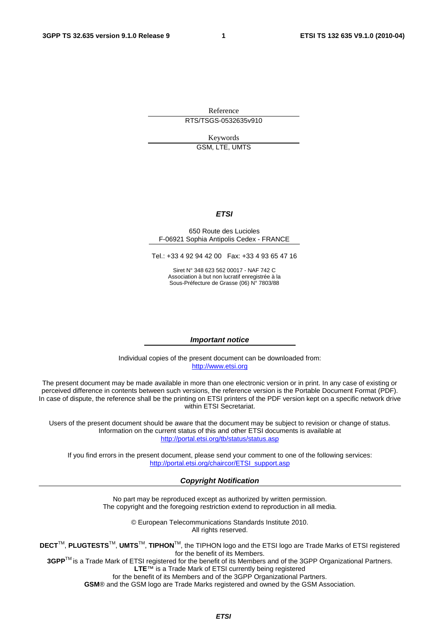Reference RTS/TSGS-0532635v910

Keywords

GSM, LTE, UMTS

#### *ETSI*

#### 650 Route des Lucioles F-06921 Sophia Antipolis Cedex - FRANCE

Tel.: +33 4 92 94 42 00 Fax: +33 4 93 65 47 16

Siret N° 348 623 562 00017 - NAF 742 C Association à but non lucratif enregistrée à la Sous-Préfecture de Grasse (06) N° 7803/88

#### *Important notice*

Individual copies of the present document can be downloaded from: [http://www.etsi.org](http://www.etsi.org/)

The present document may be made available in more than one electronic version or in print. In any case of existing or perceived difference in contents between such versions, the reference version is the Portable Document Format (PDF). In case of dispute, the reference shall be the printing on ETSI printers of the PDF version kept on a specific network drive within ETSI Secretariat.

Users of the present document should be aware that the document may be subject to revision or change of status. Information on the current status of this and other ETSI documents is available at <http://portal.etsi.org/tb/status/status.asp>

If you find errors in the present document, please send your comment to one of the following services: [http://portal.etsi.org/chaircor/ETSI\\_support.asp](http://portal.etsi.org/chaircor/ETSI_support.asp)

#### *Copyright Notification*

No part may be reproduced except as authorized by written permission. The copyright and the foregoing restriction extend to reproduction in all media.

> © European Telecommunications Standards Institute 2010. All rights reserved.

**DECT**TM, **PLUGTESTS**TM, **UMTS**TM, **TIPHON**TM, the TIPHON logo and the ETSI logo are Trade Marks of ETSI registered for the benefit of its Members.

**3GPP**TM is a Trade Mark of ETSI registered for the benefit of its Members and of the 3GPP Organizational Partners. **LTE**™ is a Trade Mark of ETSI currently being registered

for the benefit of its Members and of the 3GPP Organizational Partners.

**GSM**® and the GSM logo are Trade Marks registered and owned by the GSM Association.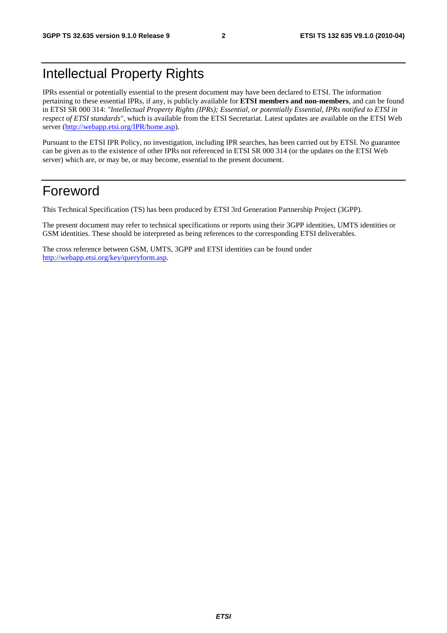# Intellectual Property Rights

IPRs essential or potentially essential to the present document may have been declared to ETSI. The information pertaining to these essential IPRs, if any, is publicly available for **ETSI members and non-members**, and can be found in ETSI SR 000 314: *"Intellectual Property Rights (IPRs); Essential, or potentially Essential, IPRs notified to ETSI in respect of ETSI standards"*, which is available from the ETSI Secretariat. Latest updates are available on the ETSI Web server ([http://webapp.etsi.org/IPR/home.asp\).](http://webapp.etsi.org/IPR/home.asp)

Pursuant to the ETSI IPR Policy, no investigation, including IPR searches, has been carried out by ETSI. No guarantee can be given as to the existence of other IPRs not referenced in ETSI SR 000 314 (or the updates on the ETSI Web server) which are, or may be, or may become, essential to the present document.

### Foreword

This Technical Specification (TS) has been produced by ETSI 3rd Generation Partnership Project (3GPP).

The present document may refer to technical specifications or reports using their 3GPP identities, UMTS identities or GSM identities. These should be interpreted as being references to the corresponding ETSI deliverables.

The cross reference between GSM, UMTS, 3GPP and ETSI identities can be found under [http://webapp.etsi.org/key/queryform.asp.](http://webapp.etsi.org/key/queryform.asp)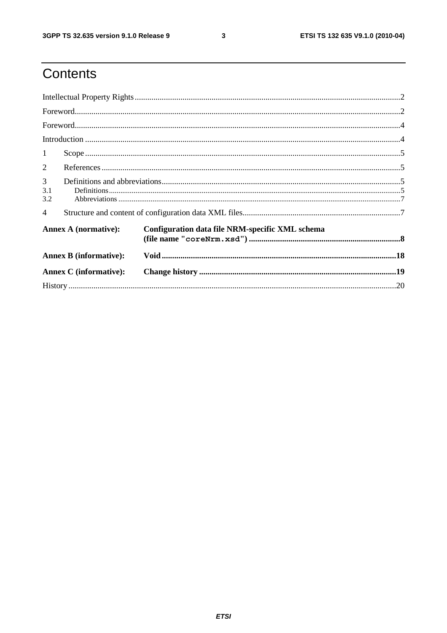ETSI TS 132 635 V9.1.0 (2010-04)

# Contents

| $\mathbf{1}$                  |                                                                                                                                                                                                                                                                                                                                                                                                                                                                                                      |                                                 |  |  |
|-------------------------------|------------------------------------------------------------------------------------------------------------------------------------------------------------------------------------------------------------------------------------------------------------------------------------------------------------------------------------------------------------------------------------------------------------------------------------------------------------------------------------------------------|-------------------------------------------------|--|--|
| 2                             |                                                                                                                                                                                                                                                                                                                                                                                                                                                                                                      |                                                 |  |  |
| $\mathfrak{Z}$<br>3.1<br>3.2  | $\textbf{Definitions} \textcolor{red}{\textbf{195}} \textcolor{red}{\textbf{106}} \textcolor{red}{\textbf{117}} \textcolor{red}{\textbf{107}} \textcolor{red}{\textbf{118}} \textcolor{red}{\textbf{119}} \textcolor{red}{\textbf{119}} \textcolor{red}{\textbf{119}} \textcolor{red}{\textbf{119}} \textcolor{red}{\textbf{119}} \textcolor{red}{\textbf{119}} \textcolor{red}{\textbf{119}} \textcolor{red}{\textbf{119}} \textcolor{red}{\textbf{119}} \textcolor{red}{\textbf{119}} \textcolor{$ |                                                 |  |  |
| $\overline{4}$                |                                                                                                                                                                                                                                                                                                                                                                                                                                                                                                      |                                                 |  |  |
| <b>Annex A (normative):</b>   |                                                                                                                                                                                                                                                                                                                                                                                                                                                                                                      | Configuration data file NRM-specific XML schema |  |  |
|                               | <b>Annex B</b> (informative):                                                                                                                                                                                                                                                                                                                                                                                                                                                                        |                                                 |  |  |
| <b>Annex C</b> (informative): |                                                                                                                                                                                                                                                                                                                                                                                                                                                                                                      |                                                 |  |  |
|                               |                                                                                                                                                                                                                                                                                                                                                                                                                                                                                                      |                                                 |  |  |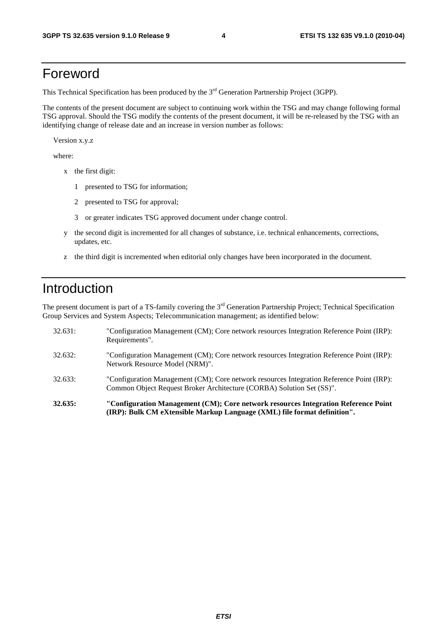### Foreword

This Technical Specification has been produced by the 3<sup>rd</sup> Generation Partnership Project (3GPP).

The contents of the present document are subject to continuing work within the TSG and may change following formal TSG approval. Should the TSG modify the contents of the present document, it will be re-released by the TSG with an identifying change of release date and an increase in version number as follows:

Version x.y.z

where:

- x the first digit:
	- 1 presented to TSG for information;
	- 2 presented to TSG for approval;
	- 3 or greater indicates TSG approved document under change control.
- y the second digit is incremented for all changes of substance, i.e. technical enhancements, corrections, updates, etc.
- z the third digit is incremented when editorial only changes have been incorporated in the document.

### Introduction

The present document is part of a TS-family covering the 3<sup>rd</sup> Generation Partnership Project; Technical Specification Group Services and System Aspects; Telecommunication management; as identified below:

| 32.635: | "Configuration Management (CM); Core network resources Integration Reference Point<br>(IRP): Bulk CM eXtensible Markup Language (XML) file format definition".     |
|---------|--------------------------------------------------------------------------------------------------------------------------------------------------------------------|
| 32.633: | "Configuration Management (CM); Core network resources Integration Reference Point (IRP):<br>Common Object Request Broker Architecture (CORBA) Solution Set (SS)". |
| 32.632: | "Configuration Management (CM); Core network resources Integration Reference Point (IRP):<br>Network Resource Model (NRM)".                                        |
| 32.631: | "Configuration Management (CM); Core network resources Integration Reference Point (IRP):<br>Requirements".                                                        |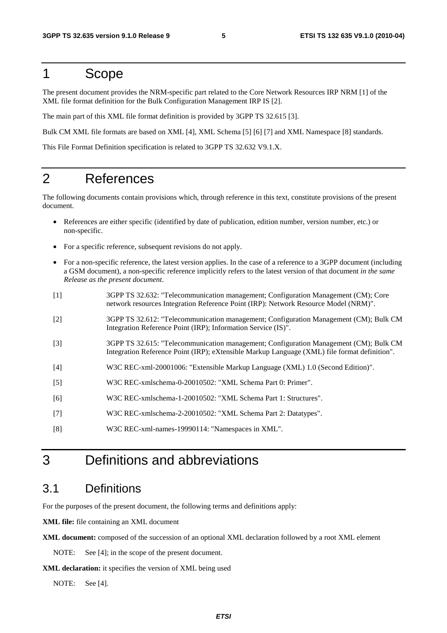#### 1 Scope

The present document provides the NRM-specific part related to the Core Network Resources IRP NRM [1] of the XML file format definition for the Bulk Configuration Management IRP IS [2].

The main part of this XML file format definition is provided by 3GPP TS 32.615 [3].

Bulk CM XML file formats are based on XML [4], XML Schema [5] [6] [7] and XML Namespace [8] standards.

This File Format Definition specification is related to 3GPP TS 32.632 V9.1.X.

### 2 References

The following documents contain provisions which, through reference in this text, constitute provisions of the present document.

- References are either specific (identified by date of publication, edition number, version number, etc.) or non-specific.
- For a specific reference, subsequent revisions do not apply.
- For a non-specific reference, the latest version applies. In the case of a reference to a 3GPP document (including a GSM document), a non-specific reference implicitly refers to the latest version of that document *in the same Release as the present document*.
- [1] 3GPP TS 32.632: "Telecommunication management; Configuration Management (CM); Core network resources Integration Reference Point (IRP): Network Resource Model (NRM)".
- [2] 3GPP TS 32.612: "Telecommunication management; Configuration Management (CM); Bulk CM Integration Reference Point (IRP); Information Service (IS)".
- [3] 3GPP TS 32.615: "Telecommunication management; Configuration Management (CM); Bulk CM Integration Reference Point (IRP); eXtensible Markup Language (XML) file format definition".
- [4] W3C REC-xml-20001006: "Extensible Markup Language (XML) 1.0 (Second Edition)".
- [5] W3C REC-xmlschema-0-20010502: "XML Schema Part 0: Primer".
- [6] W3C REC-xmlschema-1-20010502: "XML Schema Part 1: Structures".
- [7] W3C REC-xmlschema-2-20010502: "XML Schema Part 2: Datatypes".
- [8] W3C REC-xml-names-19990114: "Namespaces in XML".

### 3 Definitions and abbreviations

#### 3.1 Definitions

For the purposes of the present document, the following terms and definitions apply:

**XML file:** file containing an XML document

**XML document:** composed of the succession of an optional XML declaration followed by a root XML element

NOTE: See [4]; in the scope of the present document.

**XML declaration:** it specifies the version of XML being used

NOTE: See [4].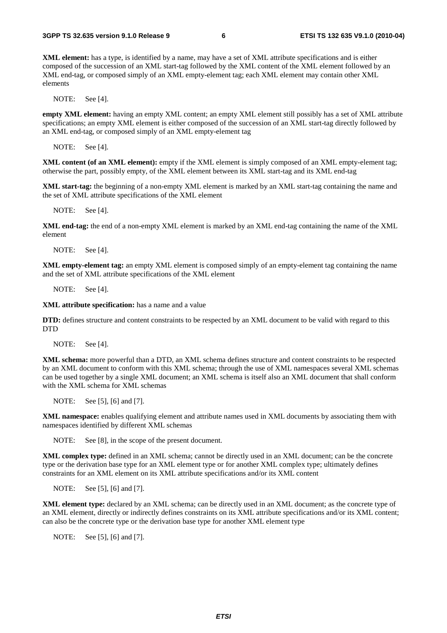**XML element:** has a type, is identified by a name, may have a set of XML attribute specifications and is either composed of the succession of an XML start-tag followed by the XML content of the XML element followed by an XML end-tag, or composed simply of an XML empty-element tag; each XML element may contain other XML elements

NOTE: See [4].

**empty XML element:** having an empty XML content; an empty XML element still possibly has a set of XML attribute specifications; an empty XML element is either composed of the succession of an XML start-tag directly followed by an XML end-tag, or composed simply of an XML empty-element tag

NOTE: See [4].

**XML content (of an XML element):** empty if the XML element is simply composed of an XML empty-element tag; otherwise the part, possibly empty, of the XML element between its XML start-tag and its XML end-tag

**XML start-tag:** the beginning of a non-empty XML element is marked by an XML start-tag containing the name and the set of XML attribute specifications of the XML element

NOTE: See [4].

**XML end-tag:** the end of a non-empty XML element is marked by an XML end-tag containing the name of the XML element

NOTE: See [4].

**XML empty-element tag:** an empty XML element is composed simply of an empty-element tag containing the name and the set of XML attribute specifications of the XML element

NOTE: See [4].

**XML attribute specification:** has a name and a value

**DTD:** defines structure and content constraints to be respected by an XML document to be valid with regard to this DTD

NOTE: See [4].

**XML schema:** more powerful than a DTD, an XML schema defines structure and content constraints to be respected by an XML document to conform with this XML schema; through the use of XML namespaces several XML schemas can be used together by a single XML document; an XML schema is itself also an XML document that shall conform with the XML schema for XML schemas

NOTE: See [5], [6] and [7].

**XML namespace:** enables qualifying element and attribute names used in XML documents by associating them with namespaces identified by different XML schemas

NOTE: See [8], in the scope of the present document.

**XML complex type:** defined in an XML schema; cannot be directly used in an XML document; can be the concrete type or the derivation base type for an XML element type or for another XML complex type; ultimately defines constraints for an XML element on its XML attribute specifications and/or its XML content

NOTE: See [5], [6] and [7].

**XML element type:** declared by an XML schema; can be directly used in an XML document; as the concrete type of an XML element, directly or indirectly defines constraints on its XML attribute specifications and/or its XML content; can also be the concrete type or the derivation base type for another XML element type

NOTE: See [5], [6] and [7].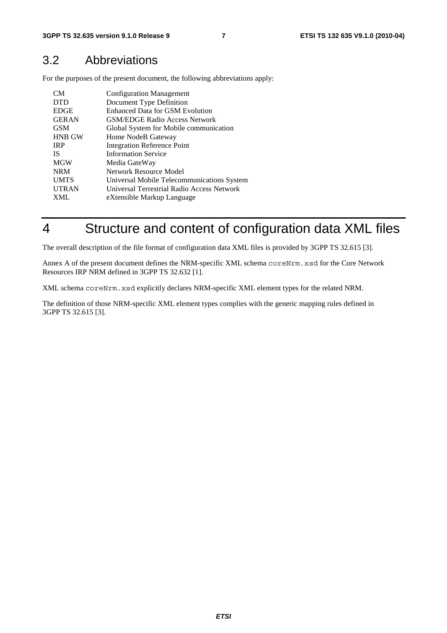#### 3.2 Abbreviations

For the purposes of the present document, the following abbreviations apply:

| CM <sub></sub> | <b>Configuration Management</b>            |
|----------------|--------------------------------------------|
| <b>DTD</b>     | Document Type Definition                   |
| <b>EDGE</b>    | Enhanced Data for GSM Evolution            |
| <b>GERAN</b>   | <b>GSM/EDGE Radio Access Network</b>       |
| <b>GSM</b>     | Global System for Mobile communication     |
| <b>HNB GW</b>  | Home NodeB Gateway                         |
| <b>IRP</b>     | <b>Integration Reference Point</b>         |
| <b>IS</b>      | <b>Information Service</b>                 |
| <b>MGW</b>     | Media GateWay                              |
| <b>NRM</b>     | Network Resource Model                     |
| <b>UMTS</b>    | Universal Mobile Telecommunications System |
| <b>UTRAN</b>   | Universal Terrestrial Radio Access Network |
| <b>XML</b>     | eXtensible Markup Language                 |

# 4 Structure and content of configuration data XML files

The overall description of the file format of configuration data XML files is provided by 3GPP TS 32.615 [3].

Annex A of the present document defines the NRM-specific XML schema coreNrm.xsd for the Core Network Resources IRP NRM defined in 3GPP TS 32.632 [1].

XML schema coreNrm.xsd explicitly declares NRM-specific XML element types for the related NRM.

The definition of those NRM-specific XML element types complies with the generic mapping rules defined in 3GPP TS 32.615 [3].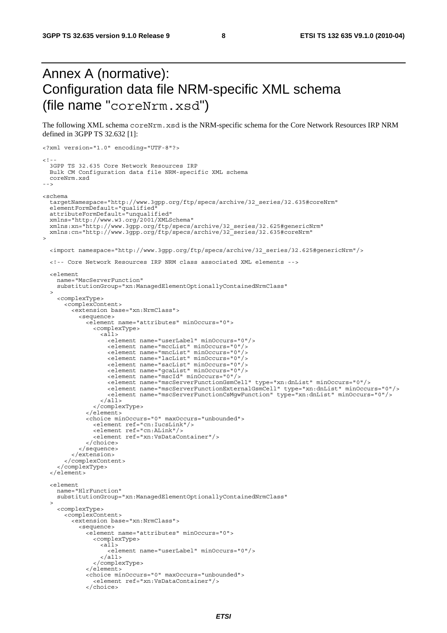# Annex A (normative): Configuration data file NRM-specific XML schema (file name "coreNrm.xsd")

The following XML schema coreNrm.xsd is the NRM-specific schema for the Core Network Resources IRP NRM defined in 3GPP TS 32.632 [1]:

```
<?xml version="1.0" encoding="UTF-8"?> 
<! - -
 3GPP TS 32.635 Core Network Resources IRP 
 Bulk CM Configuration data file NRM-specific XML schema 
  coreNrm.xsd 
--> 
<schema 
   targetNamespace="http://www.3gpp.org/ftp/specs/archive/32_series/32.635#coreNrm" 
 elementFormDefault="qualified" 
 attributeFormDefault="unqualified" 
 xmlns="http://www.w3.org/2001/XMLSchema" 
 xmlns:xn="http://www.3gpp.org/ftp/specs/archive/32_series/32.625#genericNrm" 
  xmlns:cn="http://www.3gpp.org/ftp/specs/archive/32_series/32.635#coreNrm" 
> 
  <import namespace="http://www.3gpp.org/ftp/specs/archive/32_series/32.625#genericNrm"/> 
  <!-- Core Network Resources IRP NRM class associated XML elements --> 
   <element 
    name="MscServerFunction" 
     substitutionGroup="xn:ManagedElementOptionallyContainedNrmClass" 
\rightarrow <complexType> 
       <complexContent> 
         <extension base="xn:NrmClass"> 
           <sequence> 
             <element name="attributes" minOccurs="0"> 
               <complexType> 
                  <all> 
                   <element name="userLabel" minOccurs="0"/> 
 <element name="mccList" minOccurs="0"/> 
 <element name="mncList" minOccurs="0"/> 
 <element name="lacList" minOccurs="0"/> 
 <element name="sacList" minOccurs="0"/> 
 <element name="gcaList" minOccurs="0"/> 
<element name="mscId" minOccurs="0"/><br><element name="mscServerFunctionGsmCell" type="xn:dnList" minOccurs="0"/>
 <element name="mscServerFunctionExternalGsmCell" type="xn:dnList" minOccurs="0"/> 
 <element name="mscServerFunctionCsMgwFunction" type="xn:dnList" minOccurs="0"/> 
                 \langleall\rangle </complexType> 
             </element> 
             <choice minOccurs="0" maxOccurs="unbounded"> 
               <element ref="cn:IucsLink"/> 
               <element ref="cn:ALink"/> 
               <element ref="xn:VsDataContainer"/> 
             </choice> 
           </sequence> 
         </extension> 
 </complexContent> 
 </complexType> 
   </element> 
   <element 
    name="HlrFunction" 
     substitutionGroup="xn:ManagedElementOptionallyContainedNrmClass" 
 \sim <complexType> 
       <complexContent> 
         <extension base="xn:NrmClass"> 
           <sequence> 
             <element name="attributes" minOccurs="0"> 
               <complexType> 
                 <all> 
                   <element name="userLabel" minOccurs="0"/> 
                 \langleall\rangle </complexType> 
             </element> 
             <choice minOccurs="0" maxOccurs="unbounded"> 
               <element ref="xn:VsDataContainer"/> 
             </choice>
```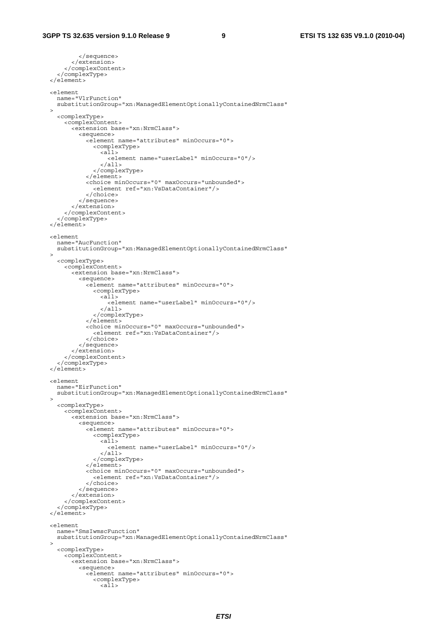```
 </sequence> 
          </extension> 
       </complexContent> 
     </complexType> 
   </element> 
   <element 
     name="VlrFunction" 
     substitutionGroup="xn:ManagedElementOptionallyContainedNrmClass" 
   > 
     <complexType> 
       <complexContent> 
         <extension base="xn:NrmClass"> 
            <sequence> 
              <element name="attributes" minOccurs="0"> 
                <complexType> 
                  <sub>all></sub></sub>
                     <element name="userLabel" minOccurs="0"/> 
                   </all> 
                 </complexType> 
              </element> 
              <choice minOccurs="0" maxOccurs="unbounded"> 
                <element ref="xn:VsDataContainer"/> 
              </choice> 
            </sequence> 
          </extension> 
       </complexContent> 
     </complexType> 
   </element> 
   <element 
    name="AucFunction" 
     substitutionGroup="xn:ManagedElementOptionallyContainedNrmClass" 
\rightarrow <complexType> 
       <complexContent> 
         <extension base="xn:NrmClass"> 
            <sequence> 
              <element name="attributes" minOccurs="0"> 
                <complexType> 
                   <all> 
                     <element name="userLabel" minOccurs="0"/> 
                  \langleall>
                 </complexType> 
              </element> 
              <choice minOccurs="0" maxOccurs="unbounded"> 
                 <element ref="xn:VsDataContainer"/> 
              </choice> 
            </sequence> 
         </extension> 
       </complexContent> 
     </complexType> 
   </element> 
  <element 
    name="EirFunction" 
     substitutionGroup="xn:ManagedElementOptionallyContainedNrmClass" 
\rightarrow <complexType> 
       <complexContent> 
         <extension base="xn:NrmClass"> 
            <sequence> 
              <element name="attributes" minOccurs="0"> 
                <complexType> 
                  \frac{1}{2} <element name="userLabel" minOccurs="0"/> 
                  \langleall> </complexType> 
              </element> 
              <choice minOccurs="0" maxOccurs="unbounded"> 
                 <element ref="xn:VsDataContainer"/> 
              </choice> 
            </sequence> 
          </extension> 
       </complexContent> 
     </complexType> 
   </element> 
   <element 
     name="SmsIwmscFunction" 
     substitutionGroup="xn:ManagedElementOptionallyContainedNrmClass" 
\rightarrow <complexType> 
       <complexContent> 
         <extension base="xn:NrmClass"> 
            <sequence> 
              <element name="attributes" minOccurs="0"> 
                <complexType> 
                   <all>
```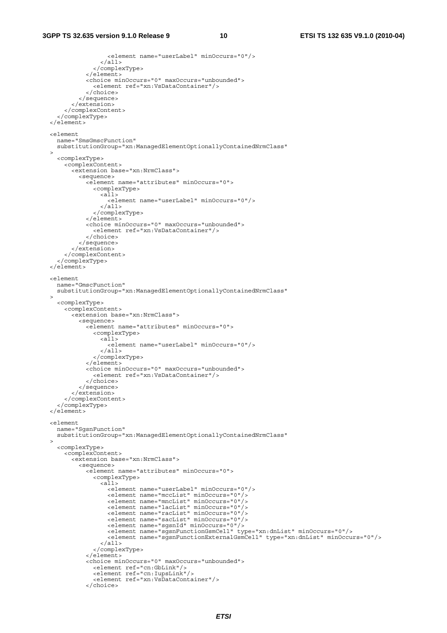```
 <element name="userLabel" minOccurs="0"/> 
                 \langleall\rangle </complexType> 
              </element> 
              <choice minOccurs="0" maxOccurs="unbounded"> 
                <element ref="xn:VsDataContainer"/> 
              </choice> 
            </sequence> 
         </extension> 
       </complexContent> 
     </complexType> 
   </element> 
   <element 
    name="SmsGmscFunction" 
     substitutionGroup="xn:ManagedElementOptionallyContainedNrmClass" 
  > 
     <complexType> 
       <complexContent> 
         <extension base="xn:NrmClass"> 
           <sequence> 
              <element name="attributes" minOccurs="0"> 
                <complexType> 
                 <sub>all></sub></sub>
                    <element name="userLabel" minOccurs="0"/> 
                  </all> 
                </complexType> 
              </element> 
 <choice minOccurs="0" maxOccurs="unbounded"> 
 <element ref="xn:VsDataContainer"/> 
              </choice> 
           </sequence> 
          </extension> 
       </complexContent> 
     </complexType> 
   </element> 
   <element 
    name="GmscFunction" 
     substitutionGroup="xn:ManagedElementOptionallyContainedNrmClass" 
\rightarrow <complexType> 
       <complexContent> 
         <extension base="xn:NrmClass"> 
           <sequence> 
              <element name="attributes" minOccurs="0"> 
                <complexType> 
                 <a\overline{1}1>
                    <element name="userLabel" minOccurs="0"/> 
                  </all> 
                </complexType> 
              </element> 
              <choice minOccurs="0" maxOccurs="unbounded"> 
                <element ref="xn:VsDataContainer"/> 
              </choice> 
           </sequence> 
         </extension> 
       </complexContent> 
     </complexType> 
   </element> 
   <element 
    name="SgsnFunction" 
     substitutionGroup="xn:ManagedElementOptionallyContainedNrmClass" 
\rightarrow <complexType> 
       <complexContent> 
         <extension base="xn:NrmClass"> 
 <sequence> 
 <element name="attributes" minOccurs="0"> 
                <complexType> 
                 \langleall> <element name="userLabel" minOccurs="0"/> 
 <element name="mccList" minOccurs="0"/> 
 <element name="mncList" minOccurs="0"/> 
 <element name="lacList" minOccurs="0"/> 
 <element name="racList" minOccurs="0"/> 
 <element name="sacList" minOccurs="0"/> 
 <element name="sgsnId" minOccurs="0"/> 
                    <element name="sgsnFunctionGsmCell" type="xn:dnList" minOccurs="0"/> 
                     <element name="sgsnFunctionExternalGsmCell" type="xn:dnList" minOccurs="0"/> 
                 \langleall> </complexType> 
              </element> 
              <choice minOccurs="0" maxOccurs="unbounded"> 
                <element ref="cn:GbLink"/> 
                <element ref="cn:IupsLink"/> 
                <element ref="xn:VsDataContainer"/> 
              </choice>
```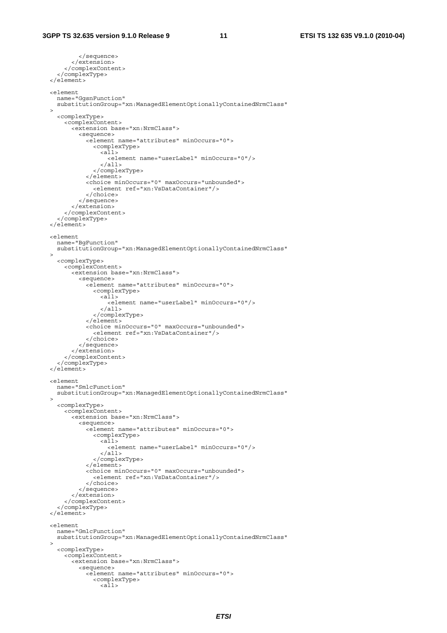```
 </sequence> 
          </extension> 
       </complexContent> 
     </complexType> 
   </element> 
   <element 
     name="GgsnFunction" 
     substitutionGroup="xn:ManagedElementOptionallyContainedNrmClass" 
   > 
     <complexType> 
       <complexContent> 
         <extension base="xn:NrmClass"> 
            <sequence> 
              <element name="attributes" minOccurs="0"> 
                <complexType> 
                  <sub>all></sub></sub>
                     <element name="userLabel" minOccurs="0"/> 
                   </all> 
                 </complexType> 
              </element> 
              <choice minOccurs="0" maxOccurs="unbounded"> 
                <element ref="xn:VsDataContainer"/> 
              </choice> 
            </sequence> 
          </extension> 
       </complexContent> 
     </complexType> 
   </element> 
   <element 
    name="BgFunction" 
     substitutionGroup="xn:ManagedElementOptionallyContainedNrmClass" 
\rightarrow <complexType> 
       <complexContent> 
         <extension base="xn:NrmClass"> 
            <sequence> 
              <element name="attributes" minOccurs="0"> 
                <complexType> 
                   <all> 
                     <element name="userLabel" minOccurs="0"/> 
                  \langleall>
                 </complexType> 
              </element> 
              <choice minOccurs="0" maxOccurs="unbounded"> 
                 <element ref="xn:VsDataContainer"/> 
              </choice> 
            </sequence> 
         </extension> 
       </complexContent> 
     </complexType> 
   </element> 
  <element 
    name="SmlcFunction" 
     substitutionGroup="xn:ManagedElementOptionallyContainedNrmClass" 
\rightarrow <complexType> 
       <complexContent> 
         <extension base="xn:NrmClass"> 
            <sequence> 
              <element name="attributes" minOccurs="0"> 
                <complexType> 
                  \frac{1}{2} <element name="userLabel" minOccurs="0"/> 
                  \langleall> </complexType> 
              </element> 
              <choice minOccurs="0" maxOccurs="unbounded"> 
                 <element ref="xn:VsDataContainer"/> 
              </choice> 
            </sequence> 
          </extension> 
       </complexContent> 
     </complexType> 
   </element> 
   <element 
     name="GmlcFunction" 
     substitutionGroup="xn:ManagedElementOptionallyContainedNrmClass" 
\rightarrow <complexType> 
       <complexContent> 
         <extension base="xn:NrmClass"> 
            <sequence> 
              <element name="attributes" minOccurs="0"> 
                <complexType> 
                   <all>
```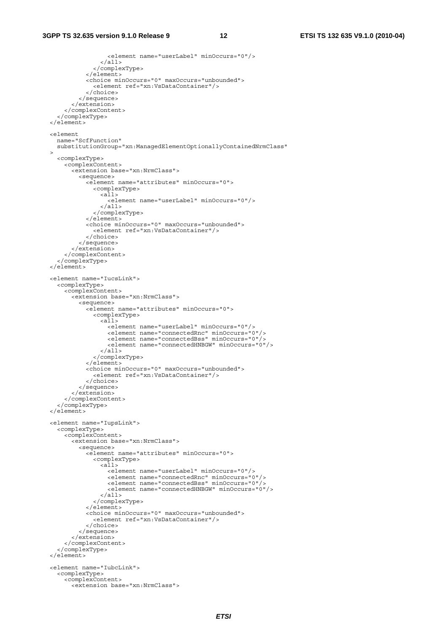```
 <element name="userLabel" minOccurs="0"/> 
                 \frac{1}{2} </complexType> 
              </element> 
              <choice minOccurs="0" maxOccurs="unbounded"> 
                <element ref="xn:VsDataContainer"/> 
              </choice> 
            </sequence> 
         </extension> 
       </complexContent> 
     </complexType> 
  </element> 
   <element 
    name="ScfFunction" 
     substitutionGroup="xn:ManagedElementOptionallyContainedNrmClass" 
  > 
     <complexType> 
       <complexContent> 
         <extension base="xn:NrmClass"> 
           <sequence> 
             <element name="attributes" minOccurs="0"> 
                <complexType> 
                 <sub>all></sub></sub>
                    <element name="userLabel" minOccurs="0"/> 
                  </all> 
                </complexType> 
              </element> 
 <choice minOccurs="0" maxOccurs="unbounded"> 
 <element ref="xn:VsDataContainer"/> 
              </choice> 
           </sequence> 
         </extension> 
       </complexContent> 
     </complexType> 
  </element> 
  <element name="IucsLink"> 
     <complexType> 
       <complexContent> 
         <extension base="xn:NrmClass"> 
 <sequence> 
 <element name="attributes" minOccurs="0"> 
                <complexType> 
                  <all> 
                    <element name="userLabel" minOccurs="0"/> 
 <element name="connectedRnc" minOccurs="0"/> 
 <element name="connectedBss" minOccurs="0"/> 
 <element name="connectedHNBGW" minOccurs="0"/> 
                 \langleall\rangle </complexType> 
              </element> 
              <choice minOccurs="0" maxOccurs="unbounded"> 
                <element ref="xn:VsDataContainer"/> 
              </choice> 
           </sequence> 
         </extension> 
       </complexContent> 
     </complexType> 
   </element> 
  <element name="IupsLink"> 
 <complexType> 
 <complexContent> 
         <extension base="xn:NrmClass"> 
           <sequence> 
              <element name="attributes" minOccurs="0"> 
                <complexType> 
                 \langleall\rangle <element name="userLabel" minOccurs="0"/> 
 <element name="connectedRnc" minOccurs="0"/> 
 <element name="connectedBss" minOccurs="0"/> 
                    <element name="connectedHNBGW" minOccurs="0"/> 
                 \langleall> </complexType> 
              </element> 
              <choice minOccurs="0" maxOccurs="unbounded"> 
                <element ref="xn:VsDataContainer"/> 
              </choice> 
            </sequence> 
         </extension> 
       </complexContent> 
     </complexType> 
  </element> 
  <element name="IubcLink"> 
     <complexType> 
       <complexContent> 
         <extension base="xn:NrmClass">
```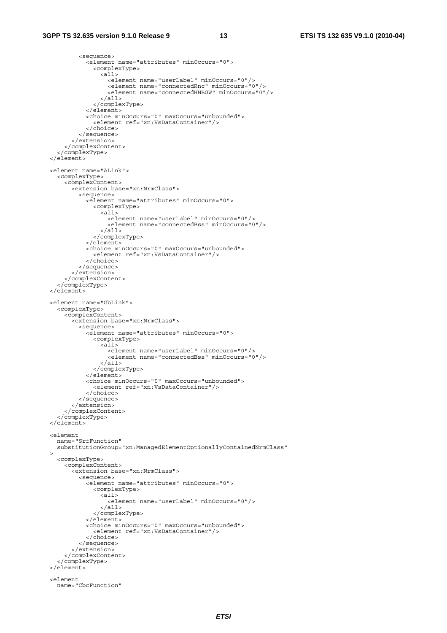```
 <sequence> 
              <element name="attributes" minOccurs="0"> 
                <complexType> 
                 \langleall> <element name="userLabel" minOccurs="0"/> 
                     <element name="connectedRnc" minOccurs="0"/> 
                     <element name="connectedHNBGW" minOccurs="0"/> 
                   </all> 
                </complexType> 
              </element> 
              <choice minOccurs="0" maxOccurs="unbounded"> 
                <element ref="xn:VsDataContainer"/> 
              </choice> 
            </sequence> 
         </extension> 
       </complexContent> 
     </complexType> 
   </element> 
   <element name="ALink"> 
     <complexType> 
       <complexContent> 
         <extension base="xn:NrmClass"> 
            <sequence> 
              <element name="attributes" minOccurs="0"> 
                <complexType> 
                  \simall\sim <element name="userLabel" minOccurs="0"/> 
                     <element name="connectedBss" minOccurs="0"/> 
                 \langle all> </complexType> 
              </element> 
              <choice minOccurs="0" maxOccurs="unbounded"> 
                <element ref="xn:VsDataContainer"/> 
              </choice> 
            </sequence> 
         </extension> 
       </complexContent> 
     </complexType> 
   </element> 
   <element name="GbLink"> 
     <complexType> 
       <complexContent> 
         <extension base="xn:NrmClass"> 
            <sequence> 
              <element name="attributes" minOccurs="0"> 
                <complexType> 
                 \simall\sim <element name="userLabel" minOccurs="0"/> 
                     <element name="connectedBss" minOccurs="0"/> 
                  \langleall> </complexType> 
              </element> 
              <choice minOccurs="0" maxOccurs="unbounded"> 
                <element ref="xn:VsDataContainer"/> 
              </choice> 
            </sequence> 
         </extension> 
       </complexContent> 
     </complexType> 
   </element> 
   <element 
    name="SrfFunction" 
    substitutionGroup="xn:ManagedElementOptionallyContainedNrmClass" 
\rightarrow <complexType> 
       <complexContent> 
         <extension base="xn:NrmClass"> 
            <sequence> 
              <element name="attributes" minOccurs="0"> 
                <complexType> 
                 \overline{all}<element name="userLabel" minOccurs="0"/><br></all>
                </complexType> 
              </element> 
              <choice minOccurs="0" maxOccurs="unbounded"> 
                <element ref="xn:VsDataContainer"/> 
              </choice> 
            </sequence> 
         </extension> 
       </complexContent> 
     </complexType> 
   </element> 
   <element 
     name="CbcFunction"
```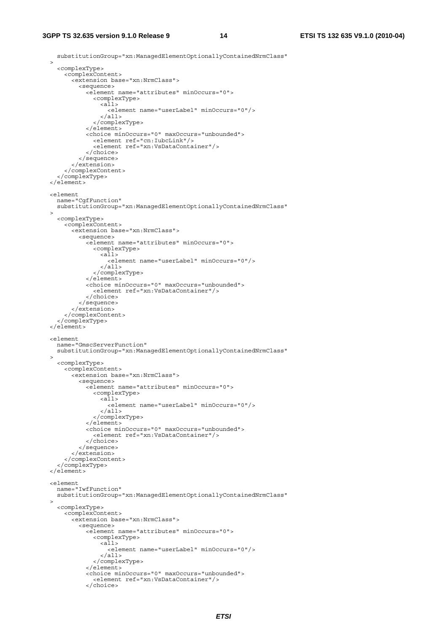#### **3GPP TS 32.635 version 9.1.0 Release 9 14 ETSI TS 132 635 V9.1.0 (2010-04)**

 substitutionGroup="xn:ManagedElementOptionallyContainedNrmClass"  $\rightarrow$  <complexType> <complexContent> <extension base="xn:NrmClass"> <sequence> <element name="attributes" minOccurs="0"> <complexType>  $\sim$   $\sim$   $\sqrt{a}$   $\sqrt{a}$  <element name="userLabel" minOccurs="0"/> </all> </complexType> </element> <choice minOccurs="0" maxOccurs="unbounded"> <element ref="cn:IubcLink"/> <element ref="xn:VsDataContainer"/> </choice> </sequence> </extension> </complexContent> </complexType> </element> <element name="CgfFunction" substitutionGroup="xn:ManagedElementOptionallyContainedNrmClass"  $\rightarrow$  <complexType> <complexContent> <extension base="xn:NrmClass"> <sequence> <element name="attributes" minOccurs="0"> <complexType> <all> <element name="userLabel" minOccurs="0"/> </all> </complexType> </element> <choice minOccurs="0" maxOccurs="unbounded"> <element ref="xn:VsDataContainer"/> </choice> </sequence> </extension> </complexContent> </complexType> </element> <element name="GmscServerFunction" substitutionGroup="xn:ManagedElementOptionallyContainedNrmClass"  $\rightarrow$  <complexType> <complexContent> <extension base="xn:NrmClass"> <sequence> <element name="attributes" minOccurs="0"> <complexType><br><all> <element name="userLabel" minOccurs="0"/> </all> </complexType> </element> <choice minOccurs="0" maxOccurs="unbounded"> <element ref="xn:VsDataContainer"/> </choice> </sequence> </extension> </complexContent> </complexType> </element> <element name="IwfFunction" substitutionGroup="xn:ManagedElementOptionallyContainedNrmClass"  $\rightarrow$  <complexType> <complexContent> <extension base="xn:NrmClass"> <sequence> <element name="attributes" minOccurs="0"> <complexType> <all> <element name="userLabel" minOccurs="0"/> </all> </complexType> </element> <choice minOccurs="0" maxOccurs="unbounded"> <element ref="xn:VsDataContainer"/> </choice>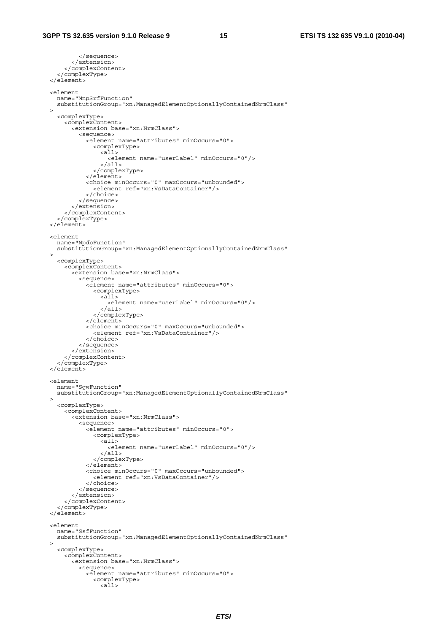```
 </sequence> 
          </extension> 
       </complexContent> 
     </complexType> 
   </element> 
   <element 
 name="MnpSrfFunction" 
 substitutionGroup="xn:ManagedElementOptionallyContainedNrmClass" 
   > 
     <complexType> 
       <complexContent> 
         <extension base="xn:NrmClass"> 
            <sequence> 
              <element name="attributes" minOccurs="0"> 
                <complexType> 
                  <sub>all></sub></sub>
                     <element name="userLabel" minOccurs="0"/> 
                   </all> 
                 </complexType> 
              </element> 
              <choice minOccurs="0" maxOccurs="unbounded"> 
                <element ref="xn:VsDataContainer"/> 
              </choice> 
            </sequence> 
          </extension> 
       </complexContent> 
     </complexType> 
   </element> 
   <element 
    name="NpdbFunction" 
     substitutionGroup="xn:ManagedElementOptionallyContainedNrmClass" 
\rightarrow <complexType> 
       <complexContent> 
         <extension base="xn:NrmClass"> 
            <sequence> 
              <element name="attributes" minOccurs="0"> 
                <complexType> 
                   <all> 
                     <element name="userLabel" minOccurs="0"/> 
                  \langleall>
                </complexType> 
              </element> 
              <choice minOccurs="0" maxOccurs="unbounded"> 
                <element ref="xn:VsDataContainer"/> 
              </choice> 
            </sequence> 
         </extension> 
       </complexContent> 
     </complexType> 
   </element> 
 <element 
 name="SgwFunction" 
     substitutionGroup="xn:ManagedElementOptionallyContainedNrmClass" 
\rightarrow <complexType> 
       <complexContent> 
         <extension base="xn:NrmClass"> 
            <sequence> 
              <element name="attributes" minOccurs="0"> 
                <complexType> 
                  \frac{1}{2} <element name="userLabel" minOccurs="0"/> 
                  \langleall> </complexType> 
              </element> 
              <choice minOccurs="0" maxOccurs="unbounded"> 
                <element ref="xn:VsDataContainer"/> 
              </choice> 
            </sequence> 
          </extension> 
       </complexContent> 
     </complexType> 
   </element> 
   <element 
     name="SsfFunction" 
     substitutionGroup="xn:ManagedElementOptionallyContainedNrmClass" 
\rightarrow <complexType> 
       <complexContent> 
         <extension base="xn:NrmClass"> 
            <sequence> 
              <element name="attributes" minOccurs="0"> 
                <complexType> 
                   <all>
```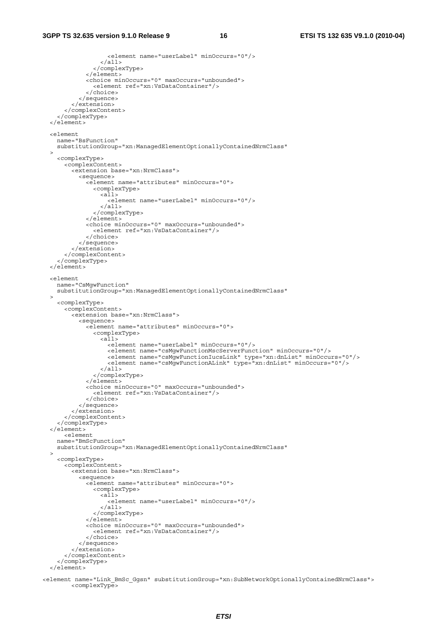```
 <element name="userLabel" minOccurs="0"/> 
                  \langleall\rangle </complexType> 
               </element> 
              <choice minOccurs="0" maxOccurs="unbounded"> 
                 <element ref="xn:VsDataContainer"/> 
               </choice> 
            </sequence> 
          </extension> 
       </complexContent> 
     </complexType> 
   </element> 
   <element 
    name="BsFunction" 
     substitutionGroup="xn:ManagedElementOptionallyContainedNrmClass" 
  > 
     <complexType> 
       <complexContent> 
          <extension base="xn:NrmClass"> 
            <sequence> 
              <element name="attributes" minOccurs="0"> 
                 <complexType> 
                  <sub>all></sub></sub>
                     <element name="userLabel" minOccurs="0"/> 
                   </all> 
                 </complexType> 
               </element> 
 <choice minOccurs="0" maxOccurs="unbounded"> 
 <element ref="xn:VsDataContainer"/> 
               </choice> 
            </sequence> 
          </extension> 
       </complexContent> 
     </complexType> 
   </element> 
   <element 
    name="CsMgwFunction" 
     substitutionGroup="xn:ManagedElementOptionallyContainedNrmClass" 
\rightarrow <complexType> 
       <complexContent> 
          <extension base="xn:NrmClass"> 
            <sequence> 
              <element name="attributes" minOccurs="0"> 
                 <complexType> 
                  <a\overline{1}1>
                     <element name="userLabel" minOccurs="0"/> 
                     <element name="csMgwFunctionMscServerFunction" minOccurs="0"/> 
 <element name="csMgwFunctionIucsLink" type="xn:dnList" minOccurs="0"/> 
 <element name="csMgwFunctionALink" type="xn:dnList" minOccurs="0"/> 
                   </all> 
                 </complexType> 
               </element> 
              <choice minOccurs="0" maxOccurs="unbounded"> 
                 <element ref="xn:VsDataContainer"/> 
               </choice> 
            </sequence> 
          </extension> 
       </complexContent> 
     </complexType> 
   </element> 
       <element 
     name="BmScFunction" 
    substitutionGroup="xn:ManagedElementOptionallyContainedNrmClass" 
\rightarrow <complexType> 
       <complexContent> 
          <extension base="xn:NrmClass"> 
            <sequence> 
              <element name="attributes" minOccurs="0"> 
                 <complexType> 
                  \overline{all} <element name="userLabel" minOccurs="0"/> 
                  \langleall\rangle </complexType> 
               </element> 
              <choice minOccurs="0" maxOccurs="unbounded"> 
                 <element ref="xn:VsDataContainer"/> 
               </choice> 
            </sequence> 
          </extension> 
       </complexContent> 
     </complexType> 
   </element>
```
<element name="Link\_BmSc\_Ggsn" substitutionGroup="xn:SubNetworkOptionallyContainedNrmClass"> <complexType>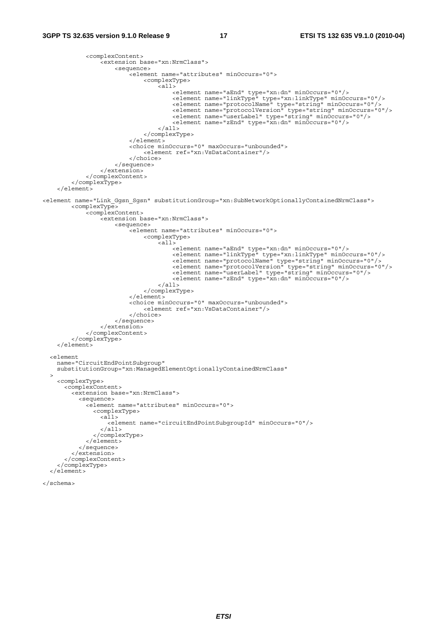```
 <complexContent> 
                 <extension base="xn:NrmClass"> 
                     <sequence> 
                         <element name="attributes" minOccurs="0"> 
                              <complexType> 
                                 .<br><all>
                                      <element name="aEnd" type="xn:dn" minOccurs="0"/> 
 <element name="linkType" type="xn:linkType" minOccurs="0"/> 
<element name="protocolName" type="string" minOccurs="0"/><br><element name="protocolVersion" type="string" minOccurs="0"/>
 <element name="userLabel" type="string" minOccurs="0"/> 
 <element name="zEnd" type="xn:dn" minOccurs="0"/> 
                                  </all> 
                              </complexType> 
                        \sim/element \sim <choice minOccurs="0" maxOccurs="unbounded"> 
                              <element ref="xn:VsDataContainer"/> 
                          </choice> 
                     </sequence> 
                 </extension> 
             </complexContent> 
         </complexType> 
     </element> 
<element name="Link_Ggsn_Sgsn" substitutionGroup="xn:SubNetworkOptionallyContainedNrmClass"> 
         <complexType> 
             <complexContent> 
                 <extension base="xn:NrmClass"> 
                     <sequence> 
                          <element name="attributes" minOccurs="0"> 
                              <complexType> 
                                  <all> 
<element name="aEnd" type="xn:dn" minOccurs="0"/><br><element name="linkType" type="xn:linkType" minOccurs="0"/>
 <element name="protocolName" type="string" minOccurs="0"/> 
<element name="protocolVersion" type="string" minOccurs="0"/><br><element name="userLabel" type="string" minOccurs="0"/>
 <element name="zEnd" type="xn:dn" minOccurs="0"/> 
                                 \langleall> </complexType> 
                          </element> 
<choice minOccurs="0" maxOccurs="unbounded"><br>
<element ref="xn:VsDataContainer"/>
                          </choice> 
                     </sequence> 
                 </extension> 
             </complexContent> 
         </complexType> 
    \epsilon/elements
   <element 
     name="CircuitEndPointSubgroup" 
     substitutionGroup="xn:ManagedElementOptionallyContainedNrmClass" 
\rightarrow <complexType> 
       <complexContent> 
         <extension base="xn:NrmClass"> 
           <sequence> 
             <element name="attributes" minOccurs="0"> 
               <complexType> 
                 <all> 
                   <element name="circuitEndPointSubgroupId" minOccurs="0"/> 
                \langleall\rangle </complexType> 
             </element> 
           </sequence> 
         </extension> 
       </complexContent> 
     </complexType> 
   </element>
```

```
</schema>
```
*ETSI*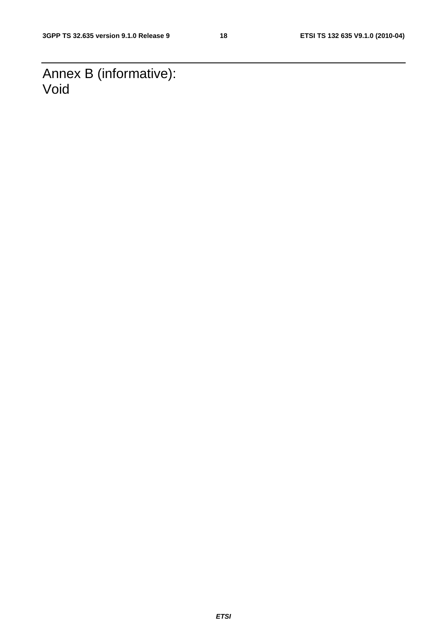Annex B (informative): Void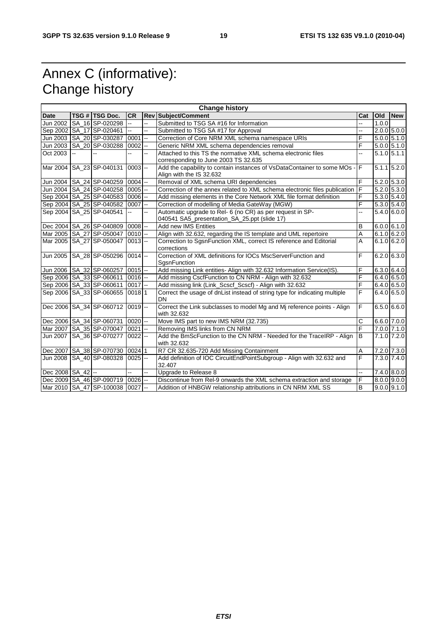# Annex C (informative): Change history

|                       | <b>Change history</b> |                                          |                |                           |                                                                                        |     |       |                 |
|-----------------------|-----------------------|------------------------------------------|----------------|---------------------------|----------------------------------------------------------------------------------------|-----|-------|-----------------|
| <b>Date</b>           |                       | TSG # TSG Doc.                           | <b>CR</b>      |                           | Rev Subject/Comment                                                                    | Cat | Old   | <b>New</b>      |
| Jun 2002              |                       | SA 16 SP-020298                          | u.             | L.                        | Submitted to TSG SA #16 for Information                                                |     | 1.0.0 |                 |
|                       |                       | Sep 2002   SA_17 SP-020461               | ωú.            | u.                        | Submitted to TSG SA #17 for Approval                                                   | н.  |       | $2.0.0$ 5.0.0   |
|                       |                       | Jun 2003 SA 20 SP-030287                 | 0001           | $\overline{\phantom{a}}$  | Correction of Core NRM XML schema namespace URIs                                       | F   |       | $5.0.0$ 5.1.0   |
|                       |                       | Jun 2003   SA_20   SP-030288             | 0002           | $\mathbb{Z}^{\mathbb{Z}}$ | Generic NRM XML schema dependencies removal                                            | F   |       | $5.0.0$ 5.1.0   |
| Oct 2003              | u.                    |                                          |                | ÷.                        | Attached to this TS the normative XML schema electronic files                          |     |       | $5.1.0$ $5.1.1$ |
|                       |                       |                                          |                |                           | corresponding to June 2003 TS 32.635                                                   |     |       |                 |
|                       |                       | Mar 2004 SA 23 SP-040131                 | $0003$ --      |                           | Add the capability to contain instances of VsDataContainer to some MOs - F             |     |       | $5.1.1$ 5.2.0   |
|                       |                       |                                          |                |                           | Align with the IS 32.632                                                               |     |       |                 |
|                       |                       | Jun 2004   SA_24 SP-040259               | $0004$ --      |                           | Removal of XML schema URI dependencies                                                 | F   |       | 5.2.0 5.3.0     |
|                       |                       | Jun 2004   SA_24 SP-040258               | $0005$ $-$     |                           | Correction of the annex related to XML schema electronic files publication             | E   |       | $5.2.0$ $5.3.0$ |
|                       |                       | Sep 2004 SA_25 SP-040583                 | $0006$ --      |                           | Add missing elements in the Core Network XML file format definition                    | F   |       | $5.3.0$ 5.4.0   |
|                       |                       | Sep 2004 SA_25 SP-040582                 | $0007$ --      |                           | Correction of modelling of Media GateWay (MGW)                                         | F   |       | 5.3.0 5.4.0     |
|                       |                       | Sep 2004 SA 25 SP-040541                 | $\overline{a}$ |                           | Automatic upgrade to Rel- 6 (no CR) as per request in SP-                              |     |       | 5.4.0 6.0.0     |
|                       |                       |                                          |                |                           | 040541 SA5_presentation_SA_25.ppt (slide 17)                                           |     |       |                 |
|                       |                       | Dec 2004 SA_26 SP-040809 0008 --         |                |                           | Add new IMS Entities                                                                   | в   |       | 6.0.061.0       |
|                       |                       | Mar 2005 SA 27 SP-050047                 | $0010$ --      |                           | Align with 32.632, regarding the IS template and UML repertoire                        | A   |       | $6.1.0$ 6.2.0   |
|                       |                       | Mar 2005 SA 27 SP-050047                 | $0013$ --      |                           | Correction to SgsnFunction XML, correct IS reference and Editorial                     | А   |       | $6.1.0$ 6.2.0   |
|                       |                       |                                          |                |                           | corrections                                                                            |     |       |                 |
|                       |                       | Jun 2005   SA_28   SP-050296   0014  --  |                |                           | Correction of XML definitions for IOCs MscServerFunction and                           | F   |       | $6.2.0$ 6.3.0   |
|                       |                       |                                          |                |                           | SgsnFunction                                                                           |     |       |                 |
|                       |                       | Jun 2006 SA 32 SP-060257                 | $0015$ --      |                           | Add missing Link entities- Align with 32.632 Information Service(IS).                  | F   |       | 6.3.0 6.4.0     |
|                       |                       | Sep 2006   SA_33   SP-060611             | $0016$ --      |                           | Add missing CscfFunction to CN NRM - Align with 32.632                                 | F   |       | $6.4.0$ 6.5.0   |
|                       |                       | Sep 2006 SA_33 SP-060611                 | $0017$ --      |                           | Add missing link (Link_Scscf_Scscf) - Align with 32.632                                | F   |       | 6.4.0 6.5.0     |
|                       |                       | Sep 2006   SA_33   SP-060655             | 00181          |                           | Correct the usage of dnList instead of string type for indicating multiple             | F   |       | 6.4.0 6.5.0     |
|                       |                       |                                          |                |                           | DN                                                                                     | F   |       |                 |
|                       |                       | Dec 2006 SA_34 SP-060712 0019 --         |                |                           | Correct the Link subclasses to model Mg and Mj reference points - Align<br>with 32.632 |     |       | 6.5.066.0       |
|                       |                       | Dec 2006   SA_34   SP-060731             | $0020$ --      |                           | Move IMS part to new IMS NRM (32.735)                                                  | C   |       | 6.6.0 7.0.0     |
|                       |                       | Mar 2007 SA 35 SP-070047                 | $0021 -$       |                           | Removing IMS links from CN NRM                                                         | F   |       | $7.0.0$ $7.1.0$ |
|                       |                       | Jun 2007   SA 36 SP-070277               | $0022$ --      |                           | Add the BmScFunction to the CN NRM - Needed for the TraceIRP - Align                   | B   |       | $7.1.0$ 7.2.0   |
|                       |                       |                                          |                |                           | with 32.632                                                                            |     |       |                 |
|                       |                       | Dec 2007   SA_38   SP-070730   0024   1  |                |                           | R7 CR 32.635-720 Add Missing Containment                                               | A   |       | 7.2.0 7.3.0     |
|                       |                       | Jun 2008 SA 40 SP-080328                 | $0025$ --      |                           | Add definition of IOC CircuitEndPointSubgroup - Align with 32.632 and                  | F   |       | 7.3.0 7.4.0     |
|                       |                       |                                          |                |                           | 32.407                                                                                 |     |       |                 |
| Dec 2008   SA_42   -- |                       |                                          | ÷.             | --                        | Upgrade to Release 8                                                                   | ÷.  |       | 7.4.0 8.0.0     |
|                       |                       | Dec 2009   SA_46   SP-090719   0026   -- |                |                           | Discontinue from Rel-9 onwards the XML schema extraction and storage                   | F   |       | $8.0.0$ 9.0.0   |
|                       |                       | Mar 2010   SA_47   SP-100038   0027   -- |                |                           | Addition of HNBGW relationship attributions in CN NRM XML SS                           | B   |       | $9.0.0$ 9.1.0   |